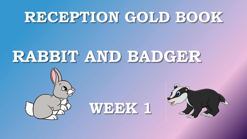## **RECEPTION GOLD BOOK**

## **RABBIT AND BADGER**



**WEEK 1** 

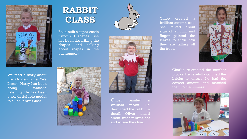

We read a story about the Golden Rule 'We Listen'. Harry has been doing fantastic listening. He has been a wonderful role model to all of Rabbit Class.

## **RABBIT CLASS**

Bella built a super castle using 3D shapes. She has been describing the shapes and talking about shapes in the environment.







Oliver painted a brilliant rabbit. He described the rabbit in detail. Oliver talked about what rabbits eat and where they live.

Chloe created a brilliant autumn tree. She talked about sign of autumn and finger painted the leaves to show how they are falling off the trees.



Charlie re-created the number blocks. He carefully counted the bricks to ensure he had the correct amount and matched them to the numeral.